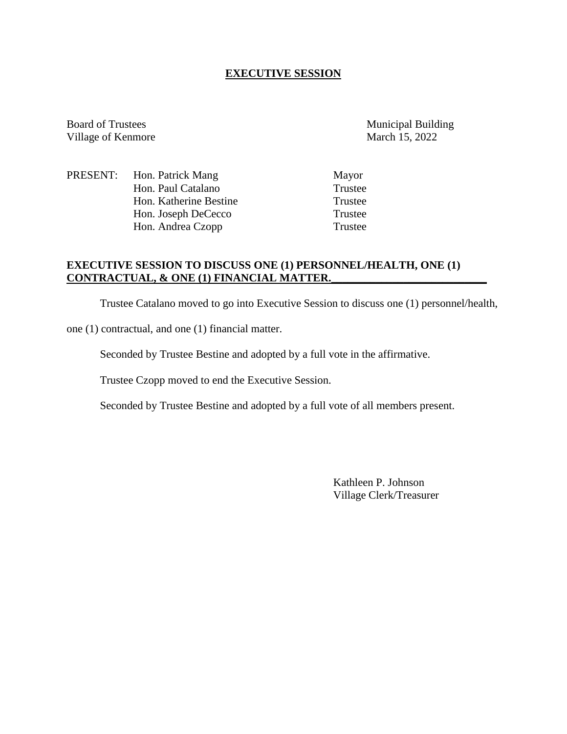### **EXECUTIVE SESSION**

Board of Trustees Municipal Building Village of Kenmore March 15, 2022

PRESENT: Hon. Patrick Mang Mayor Hon. Paul Catalano Trustee<br>
Hon Katherine Bestine Trustee Hon. Katherine Bestine Hon. Joseph DeCecco Trustee Hon. Andrea Czopp Trustee

# **EXECUTIVE SESSION TO DISCUSS ONE (1) PERSONNEL/HEALTH, ONE (1) CONTRACTUAL, & ONE (1) FINANCIAL MATTER.\_\_\_\_\_\_\_\_\_\_\_\_\_\_\_\_\_\_\_\_\_\_\_\_\_\_\_\_**

Trustee Catalano moved to go into Executive Session to discuss one (1) personnel/health,

one (1) contractual, and one (1) financial matter.

Seconded by Trustee Bestine and adopted by a full vote in the affirmative.

Trustee Czopp moved to end the Executive Session.

Seconded by Trustee Bestine and adopted by a full vote of all members present.

Kathleen P. Johnson Village Clerk/Treasurer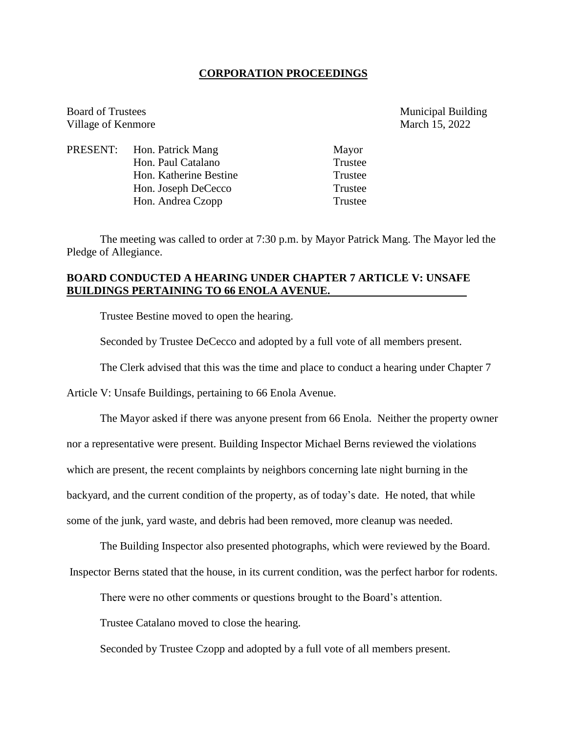#### **CORPORATION PROCEEDINGS**

Board of Trustees Municipal Building Village of Kenmore March 15, 2022

| PRESENT: Hon. Patrick Mang | Mayor   |
|----------------------------|---------|
| Hon. Paul Catalano         | Trustee |
| Hon. Katherine Bestine     | Trustee |
| Hon. Joseph DeCecco        | Trustee |
| Hon. Andrea Czopp          | Trustee |

The meeting was called to order at 7:30 p.m. by Mayor Patrick Mang. The Mayor led the Pledge of Allegiance.

### **BOARD CONDUCTED A HEARING UNDER CHAPTER 7 ARTICLE V: UNSAFE BUILDINGS PERTAINING TO 66 ENOLA AVENUE.**

Trustee Bestine moved to open the hearing.

Seconded by Trustee DeCecco and adopted by a full vote of all members present.

The Clerk advised that this was the time and place to conduct a hearing under Chapter 7

Article V: Unsafe Buildings, pertaining to 66 Enola Avenue.

The Mayor asked if there was anyone present from 66 Enola. Neither the property owner

nor a representative were present. Building Inspector Michael Berns reviewed the violations

which are present, the recent complaints by neighbors concerning late night burning in the

backyard, and the current condition of the property, as of today's date. He noted, that while

some of the junk, yard waste, and debris had been removed, more cleanup was needed.

The Building Inspector also presented photographs, which were reviewed by the Board.

Inspector Berns stated that the house, in its current condition, was the perfect harbor for rodents.

There were no other comments or questions brought to the Board's attention.

Trustee Catalano moved to close the hearing.

Seconded by Trustee Czopp and adopted by a full vote of all members present.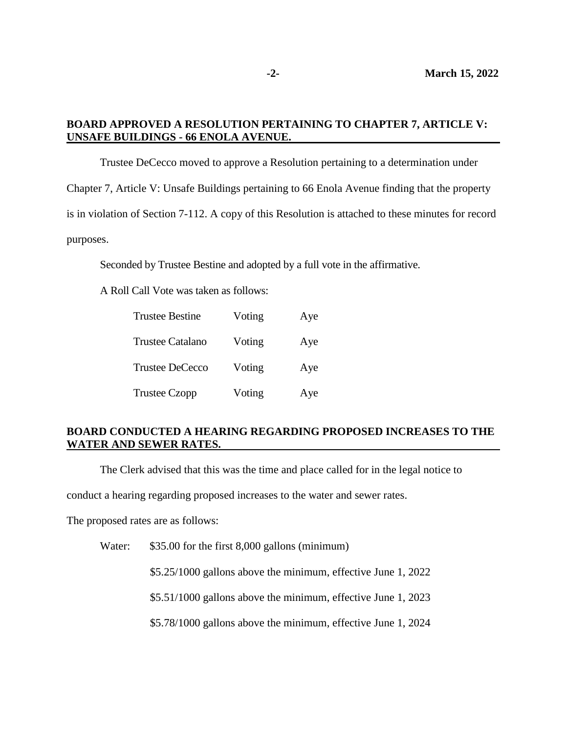# **BOARD APPROVED A RESOLUTION PERTAINING TO CHAPTER 7, ARTICLE V: UNSAFE BUILDINGS - 66 ENOLA AVENUE.**

Trustee DeCecco moved to approve a Resolution pertaining to a determination under Chapter 7, Article V: Unsafe Buildings pertaining to 66 Enola Avenue finding that the property is in violation of Section 7-112. A copy of this Resolution is attached to these minutes for record purposes.

Seconded by Trustee Bestine and adopted by a full vote in the affirmative.

A Roll Call Vote was taken as follows:

| <b>Trustee Bestine</b>  | Voting | Aye |
|-------------------------|--------|-----|
| <b>Trustee Catalano</b> | Voting | Aye |
| <b>Trustee DeCecco</b>  | Voting | Aye |
| <b>Trustee Czopp</b>    | Voting | Aye |

### **BOARD CONDUCTED A HEARING REGARDING PROPOSED INCREASES TO THE WATER AND SEWER RATES.**

The Clerk advised that this was the time and place called for in the legal notice to

conduct a hearing regarding proposed increases to the water and sewer rates.

The proposed rates are as follows:

Water: \$35.00 for the first 8,000 gallons (minimum)

\$5.25/1000 gallons above the minimum, effective June 1, 2022

\$5.51/1000 gallons above the minimum, effective June 1, 2023

\$5.78/1000 gallons above the minimum, effective June 1, 2024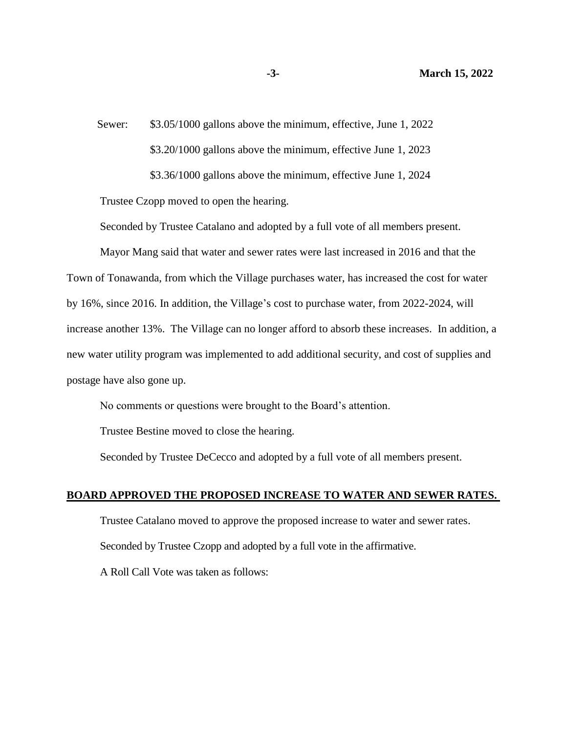Sewer: \$3.05/1000 gallons above the minimum, effective, June 1, 2022 \$3.20/1000 gallons above the minimum, effective June 1, 2023 \$3.36/1000 gallons above the minimum, effective June 1, 2024

Trustee Czopp moved to open the hearing.

Seconded by Trustee Catalano and adopted by a full vote of all members present.

Mayor Mang said that water and sewer rates were last increased in 2016 and that the Town of Tonawanda, from which the Village purchases water, has increased the cost for water by 16%, since 2016. In addition, the Village's cost to purchase water, from 2022-2024, will increase another 13%. The Village can no longer afford to absorb these increases. In addition, a new water utility program was implemented to add additional security, and cost of supplies and postage have also gone up.

No comments or questions were brought to the Board's attention.

Trustee Bestine moved to close the hearing.

Seconded by Trustee DeCecco and adopted by a full vote of all members present.

#### **BOARD APPROVED THE PROPOSED INCREASE TO WATER AND SEWER RATES.**

Trustee Catalano moved to approve the proposed increase to water and sewer rates. Seconded by Trustee Czopp and adopted by a full vote in the affirmative.

A Roll Call Vote was taken as follows: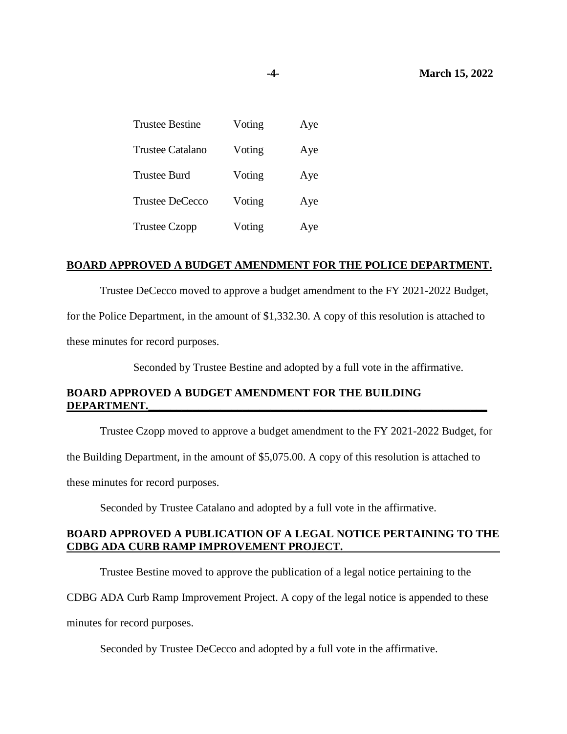| <b>Trustee Bestine</b>  | Voting | Aye |
|-------------------------|--------|-----|
| <b>Trustee Catalano</b> | Voting | Aye |
| <b>Trustee Burd</b>     | Voting | Aye |
| <b>Trustee DeCecco</b>  | Voting | Aye |
| <b>Trustee Czopp</b>    | Voting | Aye |

#### **BOARD APPROVED A BUDGET AMENDMENT FOR THE POLICE DEPARTMENT.**

Trustee DeCecco moved to approve a budget amendment to the FY 2021-2022 Budget,

for the Police Department, in the amount of \$1,332.30. A copy of this resolution is attached to

these minutes for record purposes.

Seconded by Trustee Bestine and adopted by a full vote in the affirmative.

# **BOARD APPROVED A BUDGET AMENDMENT FOR THE BUILDING** DEPARTMENT.

Trustee Czopp moved to approve a budget amendment to the FY 2021-2022 Budget, for

the Building Department, in the amount of \$5,075.00. A copy of this resolution is attached to

these minutes for record purposes.

Seconded by Trustee Catalano and adopted by a full vote in the affirmative.

#### **BOARD APPROVED A PUBLICATION OF A LEGAL NOTICE PERTAINING TO THE CDBG ADA CURB RAMP IMPROVEMENT PROJECT.**

Trustee Bestine moved to approve the publication of a legal notice pertaining to the

CDBG ADA Curb Ramp Improvement Project. A copy of the legal notice is appended to these

minutes for record purposes.

Seconded by Trustee DeCecco and adopted by a full vote in the affirmative.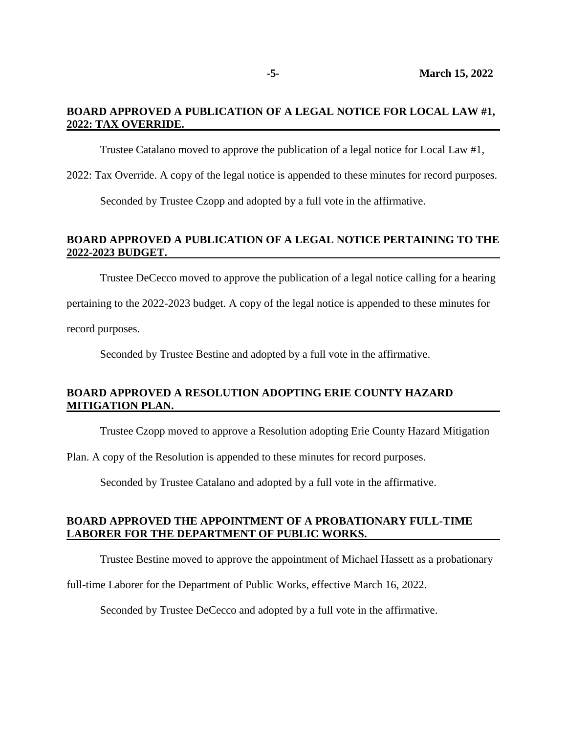### **BOARD APPROVED A PUBLICATION OF A LEGAL NOTICE FOR LOCAL LAW #1, 2022: TAX OVERRIDE.**

Trustee Catalano moved to approve the publication of a legal notice for Local Law #1,

2022: Tax Override. A copy of the legal notice is appended to these minutes for record purposes.

Seconded by Trustee Czopp and adopted by a full vote in the affirmative.

# **BOARD APPROVED A PUBLICATION OF A LEGAL NOTICE PERTAINING TO THE 2022-2023 BUDGET.**

Trustee DeCecco moved to approve the publication of a legal notice calling for a hearing

pertaining to the 2022-2023 budget. A copy of the legal notice is appended to these minutes for

record purposes.

Seconded by Trustee Bestine and adopted by a full vote in the affirmative.

# **BOARD APPROVED A RESOLUTION ADOPTING ERIE COUNTY HAZARD MITIGATION PLAN.**

Trustee Czopp moved to approve a Resolution adopting Erie County Hazard Mitigation

Plan. A copy of the Resolution is appended to these minutes for record purposes.

Seconded by Trustee Catalano and adopted by a full vote in the affirmative.

#### **BOARD APPROVED THE APPOINTMENT OF A PROBATIONARY FULL-TIME LABORER FOR THE DEPARTMENT OF PUBLIC WORKS.**

Trustee Bestine moved to approve the appointment of Michael Hassett as a probationary

full-time Laborer for the Department of Public Works, effective March 16, 2022.

Seconded by Trustee DeCecco and adopted by a full vote in the affirmative.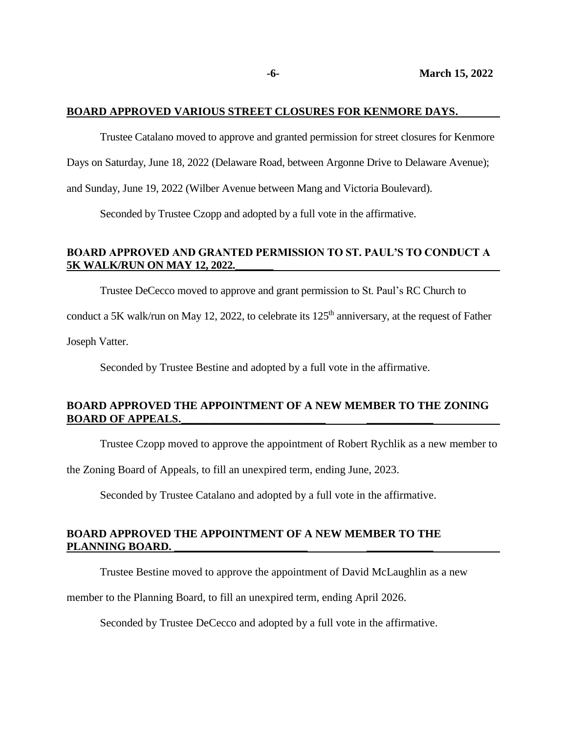#### **BOARD APPROVED VARIOUS STREET CLOSURES FOR KENMORE DAYS.**

Trustee Catalano moved to approve and granted permission for street closures for Kenmore

Days on Saturday, June 18, 2022 (Delaware Road, between Argonne Drive to Delaware Avenue);

and Sunday, June 19, 2022 (Wilber Avenue between Mang and Victoria Boulevard).

Seconded by Trustee Czopp and adopted by a full vote in the affirmative.

# **BOARD APPROVED AND GRANTED PERMISSION TO ST. PAUL'S TO CONDUCT A 5K WALK/RUN ON MAY 12, 2022.**

Trustee DeCecco moved to approve and grant permission to St. Paul's RC Church to

conduct a 5K walk/run on May 12, 2022, to celebrate its 125<sup>th</sup> anniversary, at the request of Father

Joseph Vatter.

Seconded by Trustee Bestine and adopted by a full vote in the affirmative.

# **BOARD APPROVED THE APPOINTMENT OF A NEW MEMBER TO THE ZONING BOARD OF APPEALS.\_\_\_\_\_\_\_\_\_\_\_\_\_\_\_\_\_\_\_\_\_\_\_\_\_\_ \_\_\_\_\_\_\_\_\_\_\_\_**

Trustee Czopp moved to approve the appointment of Robert Rychlik as a new member to

the Zoning Board of Appeals, to fill an unexpired term, ending June, 2023.

Seconded by Trustee Catalano and adopted by a full vote in the affirmative.

#### **BOARD APPROVED THE APPOINTMENT OF A NEW MEMBER TO THE PLANNING BOARD. \_\_\_\_\_\_\_\_\_\_\_\_\_\_\_\_\_\_\_\_\_\_\_\_ \_\_\_\_\_\_\_\_\_\_\_\_**

Trustee Bestine moved to approve the appointment of David McLaughlin as a new

member to the Planning Board, to fill an unexpired term, ending April 2026.

Seconded by Trustee DeCecco and adopted by a full vote in the affirmative.